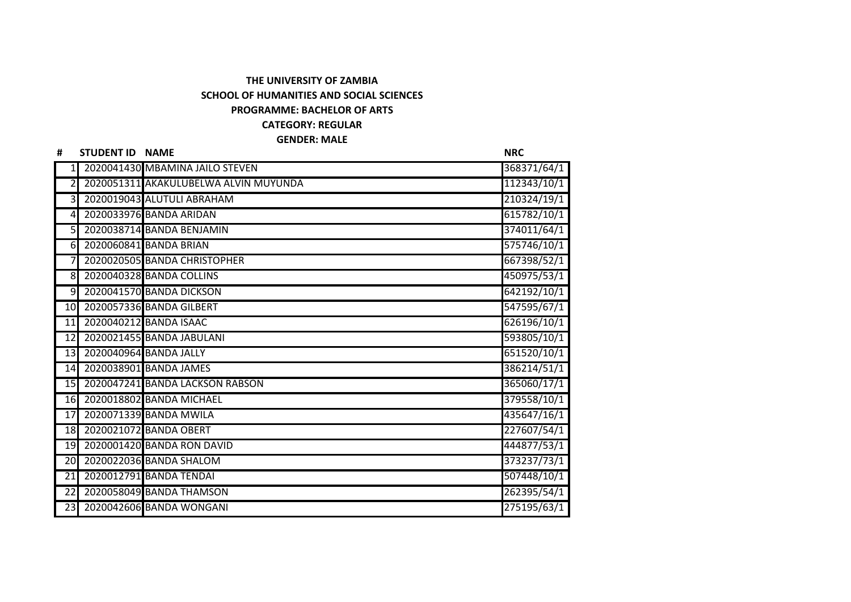## **THE UNIVERSITY OF ZAMBIA SCHOOL OF HUMANITIES AND SOCIAL SCIENCES PROGRAMME: BACHELOR OF ARTS CATEGORY: REGULAR**

## **GENDER: MALE**

| #               | STUDENT ID NAME |                                       | <b>NRC</b>  |
|-----------------|-----------------|---------------------------------------|-------------|
|                 |                 | 2020041430 MBAMINA JAILO STEVEN       | 368371/64/1 |
|                 |                 | 2020051311 AKAKULUBELWA ALVIN MUYUNDA | 112343/10/1 |
| $\overline{3}$  |                 | 2020019043 ALUTULI ABRAHAM            | 210324/19/1 |
| $\overline{4}$  |                 | 2020033976 BANDA ARIDAN               | 615782/10/1 |
| 5 <sub>l</sub>  |                 | 2020038714 BANDA BENJAMIN             | 374011/64/1 |
| $6\blacksquare$ |                 | 2020060841 BANDA BRIAN                | 575746/10/1 |
|                 |                 | 2020020505 BANDA CHRISTOPHER          | 667398/52/1 |
| 8 <sup>l</sup>  |                 | 2020040328 BANDA COLLINS              | 450975/53/1 |
| $\overline{9}$  |                 | 2020041570 BANDA DICKSON              | 642192/10/1 |
| 10              |                 | 2020057336 BANDA GILBERT              | 547595/67/1 |
| 11              |                 | 2020040212 BANDA ISAAC                | 626196/10/1 |
| 12              |                 | 2020021455 BANDA JABULANI             | 593805/10/1 |
| 13              |                 | 2020040964 BANDA JALLY                | 651520/10/1 |
| 14              |                 | 2020038901 BANDA JAMES                | 386214/51/1 |
| 15              |                 | 2020047241 BANDA LACKSON RABSON       | 365060/17/1 |
| 16              |                 | 2020018802 BANDA MICHAEL              | 379558/10/1 |
| 17              |                 | 2020071339 BANDA MWILA                | 435647/16/1 |
| 18              |                 | 2020021072 BANDA OBERT                | 227607/54/1 |
| 19              |                 | 2020001420 BANDA RON DAVID            | 444877/53/1 |
| 20              |                 | 2020022036 BANDA SHALOM               | 373237/73/1 |
| 21              |                 | 2020012791 BANDA TENDAI               | 507448/10/1 |
| $\overline{22}$ |                 | 2020058049 BANDA THAMSON              | 262395/54/1 |
| 23              |                 | 2020042606 BANDA WONGANI              | 275195/63/1 |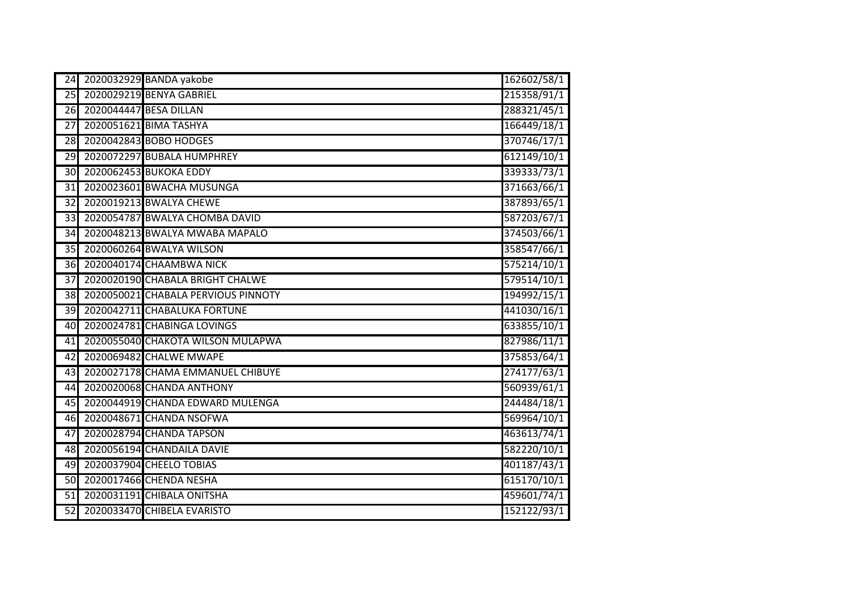| 24              |                        | 2020032929 BANDA yakobe             | 162602/58/1 |
|-----------------|------------------------|-------------------------------------|-------------|
| 25              |                        | 2020029219 BENYA GABRIEL            | 215358/91/1 |
| $\overline{26}$ | 2020044447 BESA DILLAN |                                     | 288321/45/1 |
| 27              |                        | 2020051621 BIMA TASHYA              | 166449/18/1 |
| 28              |                        | 2020042843 BOBO HODGES              | 370746/17/1 |
| $\overline{29}$ |                        | 2020072297 BUBALA HUMPHREY          | 612149/10/1 |
| 30              |                        | 2020062453 BUKOKA EDDY              | 339333/73/1 |
| $\overline{31}$ |                        | 2020023601 BWACHA MUSUNGA           | 371663/66/1 |
| $\overline{32}$ |                        | 2020019213 BWALYA CHEWE             | 387893/65/1 |
| $\overline{33}$ |                        | 2020054787 BWALYA CHOMBA DAVID      | 587203/67/1 |
| 34              |                        | 2020048213 BWALYA MWABA MAPALO      | 374503/66/1 |
| $\overline{35}$ |                        | 2020060264 BWALYA WILSON            | 358547/66/1 |
| 36              |                        | 2020040174 CHAAMBWA NICK            | 575214/10/1 |
| 37              |                        | 2020020190 CHABALA BRIGHT CHALWE    | 579514/10/1 |
| 38              |                        | 2020050021 CHABALA PERVIOUS PINNOTY | 194992/15/1 |
| 39              |                        | 2020042711 CHABALUKA FORTUNE        | 441030/16/1 |
| 40              |                        | 2020024781 CHABINGA LOVINGS         | 633855/10/1 |
| 41              |                        | 2020055040 CHAKOTA WILSON MULAPWA   | 827986/11/1 |
| $\overline{42}$ |                        | 2020069482 CHALWE MWAPE             | 375853/64/1 |
| 43              |                        | 2020027178 CHAMA EMMANUEL CHIBUYE   | 274177/63/1 |
| 44              |                        | 2020020068 CHANDA ANTHONY           | 560939/61/1 |
| $\overline{45}$ |                        | 2020044919 CHANDA EDWARD MULENGA    | 244484/18/1 |
| 46              |                        | 2020048671 CHANDA NSOFWA            | 569964/10/1 |
| 47              |                        | 2020028794 CHANDA TAPSON            | 463613/74/1 |
| 48              |                        | 2020056194 CHANDAILA DAVIE          | 582220/10/1 |
| 49              |                        | 2020037904 CHEELO TOBIAS            | 401187/43/1 |
| 50              |                        | 2020017466 CHENDA NESHA             | 615170/10/1 |
| $\overline{51}$ |                        | 2020031191 CHIBALA ONITSHA          | 459601/74/1 |
| $\overline{52}$ |                        | 2020033470 CHIBELA EVARISTO         | 152122/93/1 |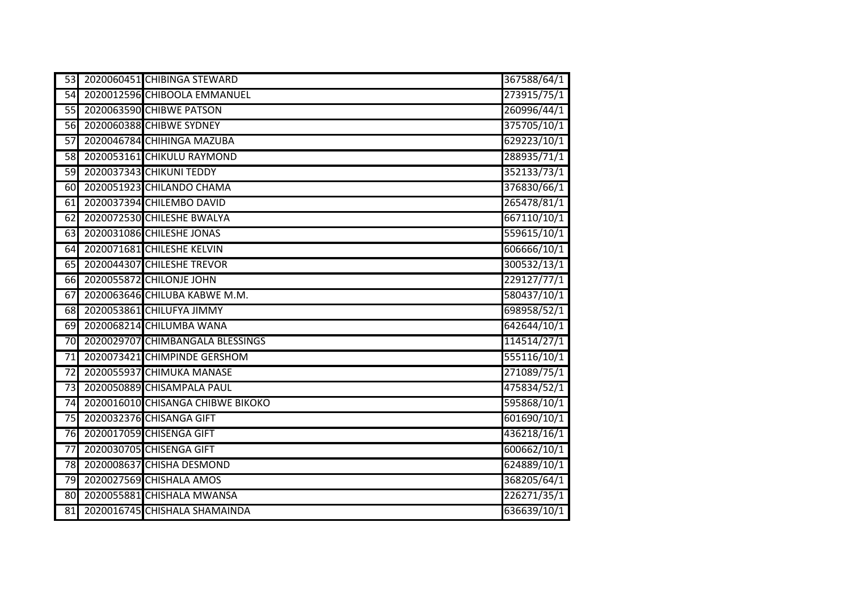| 53              | 2020060451 CHIBINGA STEWARD       | 367588/64/1 |
|-----------------|-----------------------------------|-------------|
| 54              | 2020012596 CHIBOOLA EMMANUEL      | 273915/75/1 |
| $\overline{55}$ | 2020063590 CHIBWE PATSON          | 260996/44/1 |
| 56              | 2020060388 CHIBWE SYDNEY          | 375705/10/1 |
| $\overline{57}$ | 2020046784 CHIHINGA MAZUBA        | 629223/10/1 |
| $\overline{58}$ | 2020053161 CHIKULU RAYMOND        | 288935/71/1 |
| $\overline{59}$ | 2020037343 CHIKUNI TEDDY          | 352133/73/1 |
| 60              | 2020051923 CHILANDO CHAMA         | 376830/66/1 |
| 61              | 2020037394 CHILEMBO DAVID         | 265478/81/1 |
| 62              | 2020072530 CHILESHE BWALYA        | 667110/10/1 |
| 63              | 2020031086 CHILESHE JONAS         | 559615/10/1 |
| 64              | 2020071681 CHILESHE KELVIN        | 606666/10/1 |
| 65              | 2020044307 CHILESHE TREVOR        | 300532/13/1 |
| 66              | 2020055872 CHILONJE JOHN          | 229127/77/1 |
| 67              | 2020063646 CHILUBA KABWE M.M.     | 580437/10/1 |
| 68              | 2020053861 CHILUFYA JIMMY         | 698958/52/1 |
| 69              | 2020068214 CHILUMBA WANA          | 642644/10/1 |
| $\overline{70}$ | 2020029707 CHIMBANGALA BLESSINGS  | 114514/27/1 |
| $\overline{71}$ | 2020073421 CHIMPINDE GERSHOM      | 555116/10/1 |
| $\overline{72}$ | 2020055937 CHIMUKA MANASE         | 271089/75/1 |
| $\overline{73}$ | 2020050889 CHISAMPALA PAUL        | 475834/52/1 |
| $\overline{74}$ | 2020016010 CHISANGA CHIBWE BIKOKO | 595868/10/1 |
| 75              | 2020032376 CHISANGA GIFT          | 601690/10/1 |
| 76              | 2020017059 CHISENGA GIFT          | 436218/16/1 |
| 77              | 2020030705 CHISENGA GIFT          | 600662/10/1 |
| 78              | 2020008637 CHISHA DESMOND         | 624889/10/1 |
| $\overline{79}$ | 2020027569 CHISHALA AMOS          | 368205/64/1 |
| 80              | 2020055881 CHISHALA MWANSA        | 226271/35/1 |
| 81              | 2020016745 CHISHALA SHAMAINDA     | 636639/10/1 |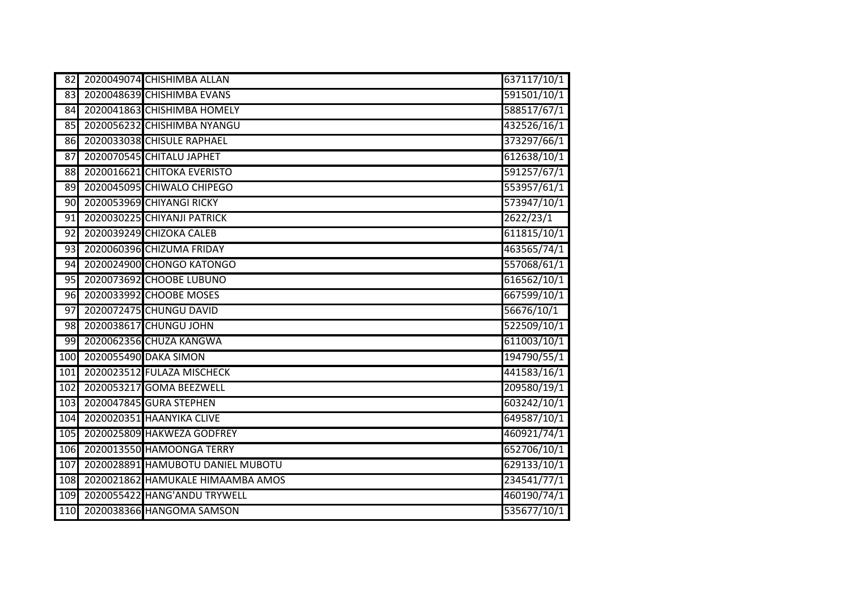| 82              |                       | 2020049074 CHISHIMBA ALLAN        | 637117/10/1 |
|-----------------|-----------------------|-----------------------------------|-------------|
| 83              |                       | 2020048639 CHISHIMBA EVANS        | 591501/10/1 |
| 84              |                       | 2020041863 CHISHIMBA HOMELY       | 588517/67/1 |
| 85              |                       | 2020056232 CHISHIMBA NYANGU       | 432526/16/1 |
| 86              |                       | 2020033038 CHISULE RAPHAEL        | 373297/66/1 |
| $\overline{87}$ |                       | 2020070545 CHITALU JAPHET         | 612638/10/1 |
| 88              |                       | 2020016621 CHITOKA EVERISTO       | 591257/67/1 |
| 89              |                       | 2020045095 CHIWALO CHIPEGO        | 553957/61/1 |
| 90              |                       | 2020053969 CHIYANGI RICKY         | 573947/10/1 |
| 91              |                       | 2020030225 CHIYANJI PATRICK       | 2622/23/1   |
| 92              |                       | 2020039249 CHIZOKA CALEB          | 611815/10/1 |
| 93              |                       | 2020060396 CHIZUMA FRIDAY         | 463565/74/1 |
| 94              |                       | 2020024900 CHONGO KATONGO         | 557068/61/1 |
| 95              |                       | 2020073692 CHOOBE LUBUNO          | 616562/10/1 |
| 96              |                       | 2020033992 CHOOBE MOSES           | 667599/10/1 |
| 97              |                       | 2020072475 CHUNGU DAVID           | 56676/10/1  |
| 98              |                       | 2020038617 CHUNGU JOHN            | 522509/10/1 |
| 99              |                       | 2020062356 CHUZA KANGWA           | 611003/10/1 |
| 100             | 2020055490 DAKA SIMON |                                   | 194790/55/1 |
| 10 <sub>1</sub> |                       | 2020023512 FULAZA MISCHECK        | 441583/16/1 |
| 102             |                       | 2020053217 GOMA BEEZWELL          | 209580/19/1 |
| 103             |                       | 2020047845 GURA STEPHEN           | 603242/10/1 |
| 104             |                       | 2020020351 HAANYIKA CLIVE         | 649587/10/1 |
| 105             |                       | 2020025809 HAKWEZA GODFREY        | 460921/74/1 |
| 106             |                       | 2020013550 HAMOONGA TERRY         | 652706/10/1 |
| 107             |                       | 2020028891 HAMUBOTU DANIEL MUBOTU | 629133/10/1 |
| 108             |                       | 2020021862 HAMUKALE HIMAAMBA AMOS | 234541/77/1 |
| 109             |                       | 2020055422 HANG'ANDU TRYWELL      | 460190/74/1 |
| 110             |                       | 2020038366 HANGOMA SAMSON         | 535677/10/1 |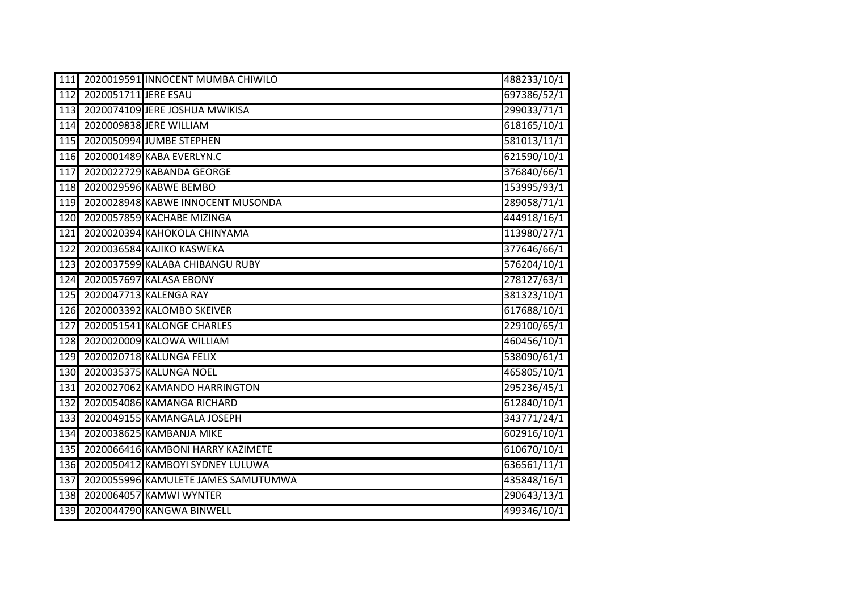| 111 |                      | 2020019591 INNOCENT MUMBA CHIWILO   | 488233/10/1 |
|-----|----------------------|-------------------------------------|-------------|
| 112 | 2020051711 JERE ESAU |                                     | 697386/52/1 |
| 113 |                      | 2020074109 JERE JOSHUA MWIKISA      | 299033/71/1 |
| 114 |                      | 2020009838 JERE WILLIAM             | 618165/10/1 |
| 115 |                      | 2020050994 JUMBE STEPHEN            | 581013/11/1 |
| 116 |                      | 2020001489 KABA EVERLYN.C           | 621590/10/1 |
| 117 |                      | 2020022729 KABANDA GEORGE           | 376840/66/1 |
| 118 |                      | 2020029596 KABWE BEMBO              | 153995/93/1 |
| 119 |                      | 2020028948 KABWE INNOCENT MUSONDA   | 289058/71/1 |
| 120 |                      | 2020057859 KACHABE MIZINGA          | 444918/16/1 |
| 121 |                      | 2020020394 KAHOKOLA CHINYAMA        | 113980/27/1 |
| 122 |                      | 2020036584 KAJIKO KASWEKA           | 377646/66/1 |
| 123 |                      | 2020037599 KALABA CHIBANGU RUBY     | 576204/10/1 |
| 124 |                      | 2020057697 KALASA EBONY             | 278127/63/1 |
| 125 |                      | 2020047713 KALENGA RAY              | 381323/10/1 |
| 126 |                      | 2020003392 KALOMBO SKEIVER          | 617688/10/1 |
| 127 |                      | 2020051541 KALONGE CHARLES          | 229100/65/1 |
| 128 |                      | 2020020009 KALOWA WILLIAM           | 460456/10/1 |
| 129 |                      | 2020020718 KALUNGA FELIX            | 538090/61/1 |
| 130 |                      | 2020035375 KALUNGA NOEL             | 465805/10/1 |
| 131 |                      | 2020027062 KAMANDO HARRINGTON       | 295236/45/1 |
| 132 |                      | 2020054086 KAMANGA RICHARD          | 612840/10/1 |
| 133 |                      | 2020049155 KAMANGALA JOSEPH         | 343771/24/1 |
| 134 |                      | 2020038625 KAMBANJA MIKE            | 602916/10/1 |
| 135 |                      | 2020066416 KAMBONI HARRY KAZIMETE   | 610670/10/1 |
| 136 |                      | 2020050412 KAMBOYI SYDNEY LULUWA    | 636561/11/1 |
| 137 |                      | 2020055996 KAMULETE JAMES SAMUTUMWA | 435848/16/1 |
| 138 |                      | 2020064057 KAMWI WYNTER             | 290643/13/1 |
| 139 |                      | 2020044790 KANGWA BINWELL           | 499346/10/1 |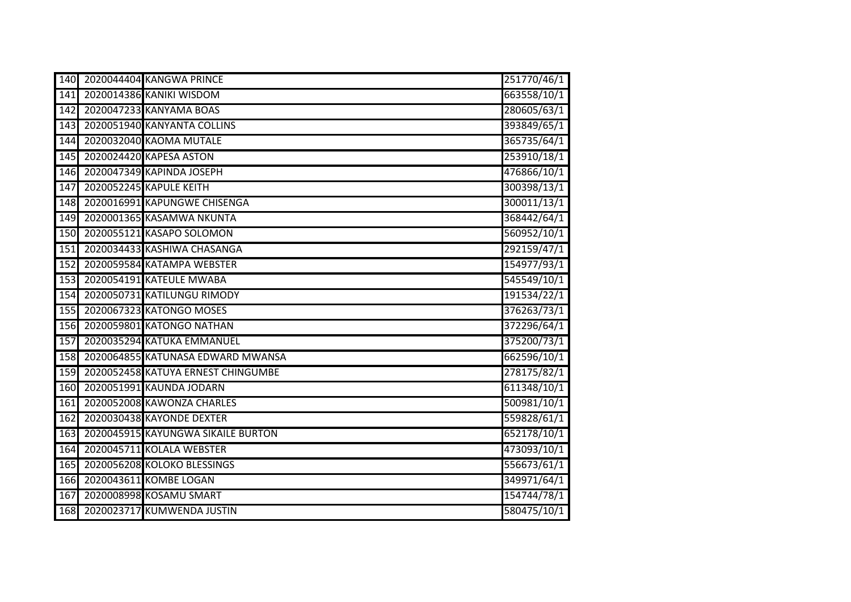| 140              | 2020044404 KANGWA PRINCE           | 251770/46/1 |
|------------------|------------------------------------|-------------|
| 141              | 2020014386 KANIKI WISDOM           | 663558/10/1 |
| 142              | 2020047233 KANYAMA BOAS            | 280605/63/1 |
| 143              | 2020051940 KANYANTA COLLINS        | 393849/65/1 |
| 144              | 2020032040 KAOMA MUTALE            | 365735/64/1 |
| 145              | 2020024420 KAPESA ASTON            | 253910/18/1 |
| 146              | 2020047349 KAPINDA JOSEPH          | 476866/10/1 |
| $\overline{147}$ | 2020052245 KAPULE KEITH            | 300398/13/1 |
| 148              | 2020016991 KAPUNGWE CHISENGA       | 300011/13/1 |
| 149              | 2020001365 KASAMWA NKUNTA          | 368442/64/1 |
| 150              | 2020055121 KASAPO SOLOMON          | 560952/10/1 |
| 151              | 2020034433 KASHIWA CHASANGA        | 292159/47/1 |
| 152              | 2020059584 KATAMPA WEBSTER         | 154977/93/1 |
| 153              | 2020054191 KATEULE MWABA           | 545549/10/1 |
| 154              | 2020050731 KATILUNGU RIMODY        | 191534/22/1 |
| 155              | 2020067323 KATONGO MOSES           | 376263/73/1 |
| 156              | 2020059801 KATONGO NATHAN          | 372296/64/1 |
| 157              | 2020035294 KATUKA EMMANUEL         | 375200/73/1 |
| 158              | 2020064855 KATUNASA EDWARD MWANSA  | 662596/10/1 |
| 159              | 2020052458 KATUYA ERNEST CHINGUMBE | 278175/82/1 |
| 160              | 2020051991 KAUNDA JODARN           | 611348/10/1 |
| 161              | 2020052008 KAWONZA CHARLES         | 500981/10/1 |
| 162              | 2020030438 KAYONDE DEXTER          | 559828/61/1 |
| 163              | 2020045915 KAYUNGWA SIKAILE BURTON | 652178/10/1 |
| 164              | 2020045711 KOLALA WEBSTER          | 473093/10/1 |
| 165              | 2020056208 KOLOKO BLESSINGS        | 556673/61/1 |
| 166              | 2020043611 KOMBE LOGAN             | 349971/64/1 |
| 167              | 2020008998 KOSAMU SMART            | 154744/78/1 |
| 168              | 2020023717 KUMWENDA JUSTIN         | 580475/10/1 |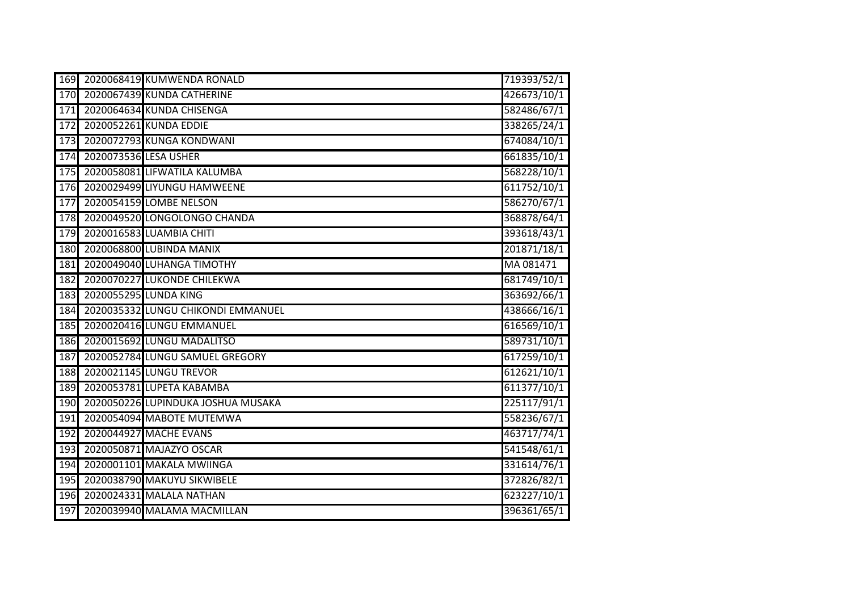| 169 |                       | 2020068419 KUMWENDA RONALD         | 719393/52/1 |
|-----|-----------------------|------------------------------------|-------------|
| 170 |                       | 2020067439 KUNDA CATHERINE         | 426673/10/1 |
| 171 |                       | 2020064634 KUNDA CHISENGA          | 582486/67/1 |
| 172 |                       | 2020052261 KUNDA EDDIE             | 338265/24/1 |
| 173 |                       | 2020072793 KUNGA KONDWANI          | 674084/10/1 |
| 174 | 2020073536 LESA USHER |                                    | 661835/10/1 |
| 175 |                       | 2020058081 LIFWATILA KALUMBA       | 568228/10/1 |
| 176 |                       | 2020029499 LIYUNGU HAMWEENE        | 611752/10/1 |
| 177 |                       | 2020054159 LOMBE NELSON            | 586270/67/1 |
| 178 |                       | 2020049520 LONGOLONGO CHANDA       | 368878/64/1 |
| 179 |                       | 2020016583 LUAMBIA CHITI           | 393618/43/1 |
| 180 |                       | 2020068800 LUBINDA MANIX           | 201871/18/1 |
| 181 |                       | 2020049040 LUHANGA TIMOTHY         | MA 081471   |
| 182 |                       | 2020070227 LUKONDE CHILEKWA        | 681749/10/1 |
| 183 |                       | 2020055295 LUNDA KING              | 363692/66/1 |
| 184 |                       | 2020035332 LUNGU CHIKONDI EMMANUEL | 438666/16/1 |
| 185 |                       | 2020020416 LUNGU EMMANUEL          | 616569/10/1 |
| 186 |                       | 2020015692 LUNGU MADALITSO         | 589731/10/1 |
| 187 |                       | 2020052784 LUNGU SAMUEL GREGORY    | 617259/10/1 |
| 188 |                       | 2020021145 LUNGU TREVOR            | 612621/10/1 |
| 189 |                       | 2020053781 LUPETA KABAMBA          | 611377/10/1 |
| 190 |                       | 2020050226 LUPINDUKA JOSHUA MUSAKA | 225117/91/1 |
| 191 |                       | 2020054094 MABOTE MUTEMWA          | 558236/67/1 |
| 192 |                       | 2020044927 MACHE EVANS             | 463717/74/1 |
| 193 |                       | 2020050871 MAJAZYO OSCAR           | 541548/61/1 |
| 194 |                       | 2020001101 MAKALA MWIINGA          | 331614/76/1 |
| 195 |                       | 2020038790 MAKUYU SIKWIBELE        | 372826/82/1 |
| 196 |                       | 2020024331 MALALA NATHAN           | 623227/10/1 |
| 197 |                       | 2020039940 MALAMA MACMILLAN        | 396361/65/1 |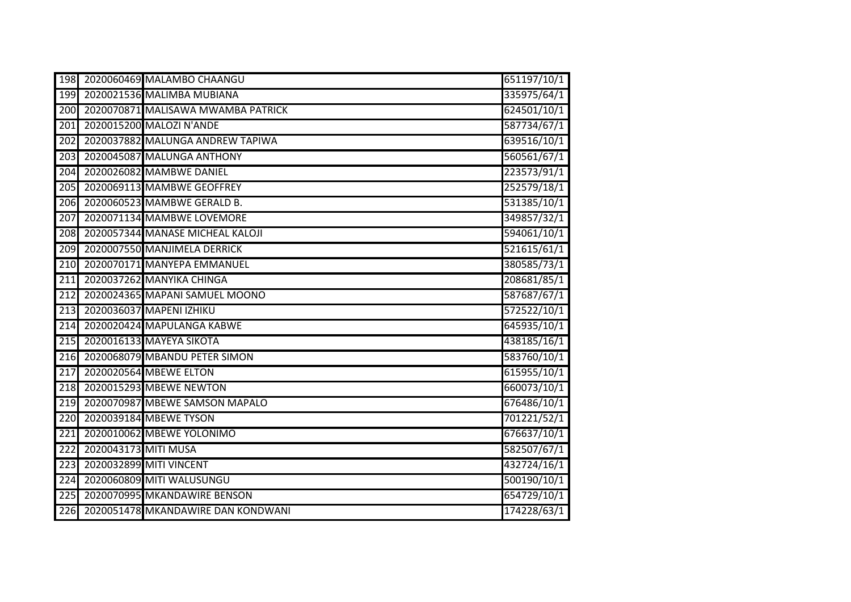| 198              |                      | 2020060469 MALAMBO CHAANGU         | 651197/10/1 |
|------------------|----------------------|------------------------------------|-------------|
| 199              |                      | 2020021536 MALIMBA MUBIANA         | 335975/64/1 |
| 200              |                      | 2020070871 MALISAWA MWAMBA PATRICK | 624501/10/1 |
| 201              |                      | 2020015200 MALOZI N'ANDE           | 587734/67/1 |
| 202              |                      | 2020037882 MALUNGA ANDREW TAPIWA   | 639516/10/1 |
| $\overline{203}$ |                      | 2020045087 MALUNGA ANTHONY         | 560561/67/1 |
| 204              |                      | 2020026082 MAMBWE DANIEL           | 223573/91/1 |
| $\overline{205}$ |                      | 2020069113 MAMBWE GEOFFREY         | 252579/18/1 |
| 206              |                      | 2020060523 MAMBWE GERALD B.        | 531385/10/1 |
| 207              |                      | 2020071134 MAMBWE LOVEMORE         | 349857/32/1 |
| 208              |                      | 2020057344 MANASE MICHEAL KALOJI   | 594061/10/1 |
| 209              |                      | 2020007550 MANJIMELA DERRICK       | 521615/61/1 |
| 210              |                      | 2020070171 MANYEPA EMMANUEL        | 380585/73/1 |
| 211              |                      | 2020037262 MANYIKA CHINGA          | 208681/85/1 |
| 212              |                      | 2020024365 MAPANI SAMUEL MOONO     | 587687/67/1 |
| $\overline{213}$ |                      | 2020036037 MAPENI IZHIKU           | 572522/10/1 |
| 214              |                      | 2020020424 MAPULANGA KABWE         | 645935/10/1 |
| $\overline{215}$ |                      | 2020016133 MAYEYA SIKOTA           | 438185/16/1 |
| 216              |                      | 2020068079 MBANDU PETER SIMON      | 583760/10/1 |
| $\overline{217}$ |                      | 2020020564 MBEWE ELTON             | 615955/10/1 |
| 218              |                      | 2020015293 MBEWE NEWTON            | 660073/10/1 |
| 219              |                      | 2020070987 MBEWE SAMSON MAPALO     | 676486/10/1 |
| 220              |                      | 2020039184 MBEWE TYSON             | 701221/52/1 |
| 221              |                      | 2020010062 MBEWE YOLONIMO          | 676637/10/1 |
| 222              | 2020043173 MITI MUSA |                                    | 582507/67/1 |
| 223              |                      | 2020032899 MITI VINCENT            | 432724/16/1 |
| 224              |                      | 2020060809 MITI WALUSUNGU          | 500190/10/1 |
| 225              |                      | 2020070995 MKANDAWIRE BENSON       | 654729/10/1 |
| 226              |                      | 2020051478 MKANDAWIRE DAN KONDWANI | 174228/63/1 |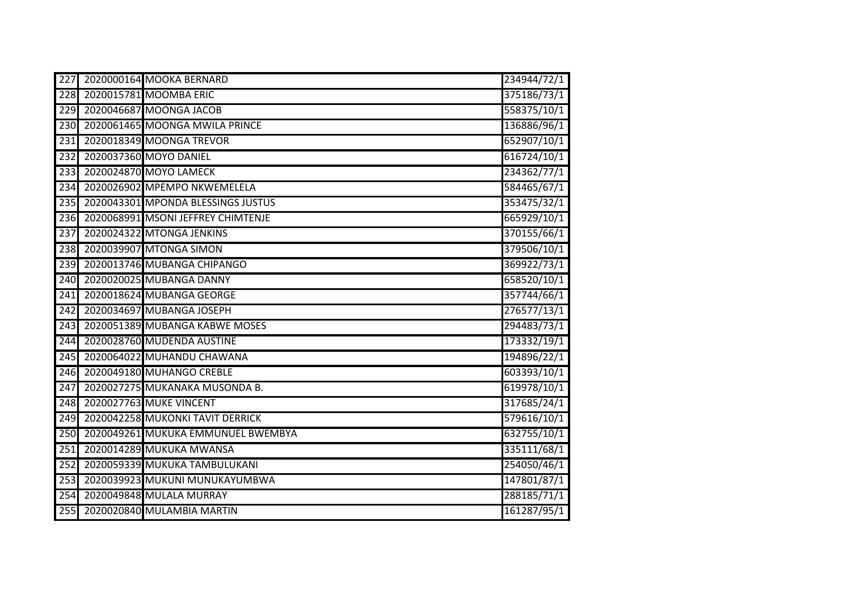| 227 | 2020000164 MOOKA BERNARD           | 234944/72/1 |
|-----|------------------------------------|-------------|
| 228 | 2020015781 MOOMBA ERIC             | 375186/73/1 |
| 229 | 2020046687 MOONGA JACOB            | 558375/10/1 |
| 230 | 2020061465 MOONGA MWILA PRINCE     | 136886/96/1 |
| 231 | 2020018349 MOONGA TREVOR           | 652907/10/1 |
| 232 | 2020037360 MOYO DANIEL             | 616724/10/1 |
| 233 | 2020024870 MOYO LAMECK             | 234362/77/1 |
| 234 | 2020026902 MPEMPO NKWEMELELA       | 584465/67/1 |
| 235 | 2020043301 MPONDA BLESSINGS JUSTUS | 353475/32/1 |
| 236 | 2020068991 MSONI JEFFREY CHIMTENJE | 665929/10/1 |
| 237 | 2020024322 MTONGA JENKINS          | 370155/66/1 |
| 238 | 2020039907 MTONGA SIMON            | 379506/10/1 |
| 239 | 2020013746 MUBANGA CHIPANGO        | 369922/73/1 |
| 240 | 2020020025 MUBANGA DANNY           | 658520/10/1 |
| 241 | 2020018624 MUBANGA GEORGE          | 357744/66/1 |
| 242 | 2020034697 MUBANGA JOSEPH          | 276577/13/1 |
| 243 | 2020051389 MUBANGA KABWE MOSES     | 294483/73/1 |
| 244 | 2020028760 MUDENDA AUSTINE         | 173332/19/1 |
| 245 | 2020064022 MUHANDU CHAWANA         | 194896/22/1 |
| 246 | 2020049180 MUHANGO CREBLE          | 603393/10/1 |
| 247 | 2020027275 MUKANAKA MUSONDA B.     | 619978/10/1 |
| 248 | 2020027763 MUKE VINCENT            | 317685/24/1 |
| 249 | 2020042258 MUKONKI TAVIT DERRICK   | 579616/10/1 |
| 250 | 2020049261 MUKUKA EMMUNUEL BWEMBYA | 632755/10/1 |
| 251 | 2020014289 MUKUKA MWANSA           | 335111/68/1 |
| 252 | 2020059339 MUKUKA TAMBULUKANI      | 254050/46/1 |
| 253 | 2020039923 MUKUNI MUNUKAYUMBWA     | 147801/87/1 |
| 254 | 2020049848 MULALA MURRAY           | 288185/71/1 |
| 255 | 2020020840 MULAMBIA MARTIN         | 161287/95/1 |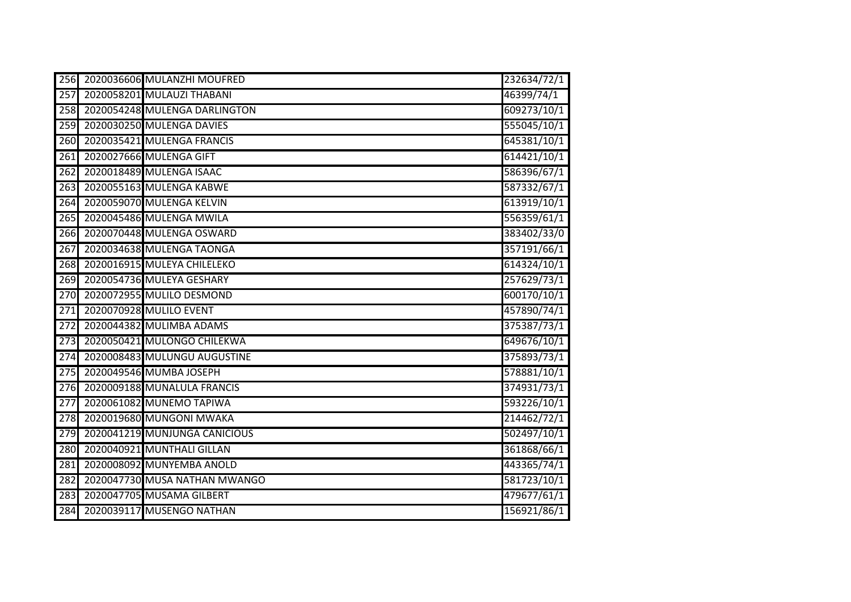| 256              | 2020036606 MULANZHI MOUFRED   | 232634/72/1 |
|------------------|-------------------------------|-------------|
| 257              | 2020058201 MULAUZI THABANI    | 46399/74/1  |
| 258              | 2020054248 MULENGA DARLINGTON | 609273/10/1 |
| 259              | 2020030250 MULENGA DAVIES     | 555045/10/1 |
| 260              | 2020035421 MULENGA FRANCIS    | 645381/10/1 |
| 261              | 2020027666 MULENGA GIFT       | 614421/10/1 |
| 262              | 2020018489 MULENGA ISAAC      | 586396/67/1 |
| 263              | 2020055163 MULENGA KABWE      | 587332/67/1 |
| 264              | 2020059070 MULENGA KELVIN     | 613919/10/1 |
| 265              | 2020045486 MULENGA MWILA      | 556359/61/1 |
| 266              | 2020070448 MULENGA OSWARD     | 383402/33/0 |
| 267              | 2020034638 MULENGA TAONGA     | 357191/66/1 |
| 268              | 2020016915 MULEYA CHILELEKO   | 614324/10/1 |
| 269              | 2020054736 MULEYA GESHARY     | 257629/73/1 |
| 270              | 2020072955 MULILO DESMOND     | 600170/10/1 |
| 271              | 2020070928 MULILO EVENT       | 457890/74/1 |
| $\overline{272}$ | 2020044382 MULIMBA ADAMS      | 375387/73/1 |
| $\overline{273}$ | 2020050421 MULONGO CHILEKWA   | 649676/10/1 |
| 274              | 2020008483 MULUNGU AUGUSTINE  | 375893/73/1 |
| 275              | 2020049546 MUMBA JOSEPH       | 578881/10/1 |
| 276              | 2020009188 MUNALULA FRANCIS   | 374931/73/1 |
| $\overline{277}$ | 2020061082 MUNEMO TAPIWA      | 593226/10/1 |
| $\overline{278}$ | 2020019680 MUNGONI MWAKA      | 214462/72/1 |
| 279              | 2020041219 MUNJUNGA CANICIOUS | 502497/10/1 |
| 280              | 2020040921 MUNTHALI GILLAN    | 361868/66/1 |
| 281              | 2020008092 MUNYEMBA ANOLD     | 443365/74/1 |
| 282              | 2020047730 MUSA NATHAN MWANGO | 581723/10/1 |
| 283              | 2020047705 MUSAMA GILBERT     | 479677/61/1 |
| 284              | 2020039117 MUSENGO NATHAN     | 156921/86/1 |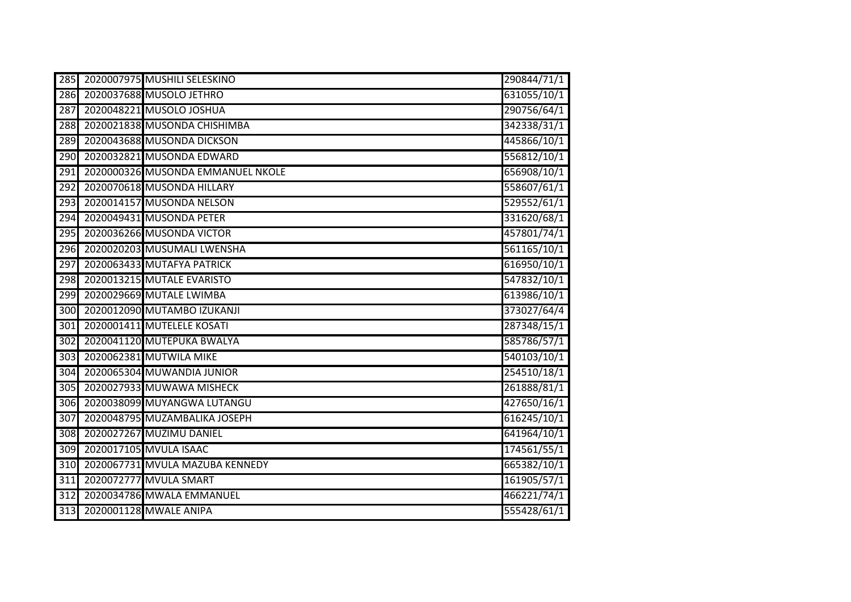| 285              | 2020007975 MUSHILI SELESKINO      | 290844/71/1 |
|------------------|-----------------------------------|-------------|
| 286              | 2020037688 MUSOLO JETHRO          | 631055/10/1 |
| 287              | 2020048221 MUSOLO JOSHUA          | 290756/64/1 |
| 288              | 2020021838 MUSONDA CHISHIMBA      | 342338/31/1 |
| 289              | 2020043688 MUSONDA DICKSON        | 445866/10/1 |
| 290              | 2020032821 MUSONDA EDWARD         | 556812/10/1 |
| 291              | 2020000326 MUSONDA EMMANUEL NKOLE | 656908/10/1 |
| $\overline{292}$ | 2020070618 MUSONDA HILLARY        | 558607/61/1 |
| 293              | 2020014157 MUSONDA NELSON         | 529552/61/1 |
| 294              | 2020049431 MUSONDA PETER          | 331620/68/1 |
| 295              | 2020036266 MUSONDA VICTOR         | 457801/74/1 |
| 296              | 2020020203 MUSUMALI LWENSHA       | 561165/10/1 |
| 297              | 2020063433 MUTAFYA PATRICK        | 616950/10/1 |
| 298              | 2020013215 MUTALE EVARISTO        | 547832/10/1 |
| 299              | 2020029669 MUTALE LWIMBA          | 613986/10/1 |
| 300              | 2020012090 MUTAMBO IZUKANJI       | 373027/64/4 |
| 301              | 2020001411 MUTELELE KOSATI        | 287348/15/1 |
| 302              | 2020041120 MUTEPUKA BWALYA        | 585786/57/1 |
| 303              | 2020062381 MUTWILA MIKE           | 540103/10/1 |
| 304              | 2020065304 MUWANDIA JUNIOR        | 254510/18/1 |
| 305              | 2020027933 MUWAWA MISHECK         | 261888/81/1 |
| 306              | 2020038099 MUYANGWA LUTANGU       | 427650/16/1 |
| $\overline{307}$ | 2020048795 MUZAMBALIKA JOSEPH     | 616245/10/1 |
| 308              | 2020027267 MUZIMU DANIEL          | 641964/10/1 |
| 309              | 2020017105 MVULA ISAAC            | 174561/55/1 |
| 310              | 2020067731 MVULA MAZUBA KENNEDY   | 665382/10/1 |
| 311              | 2020072777 MVULA SMART            | 161905/57/1 |
| 312              | 2020034786 MWALA EMMANUEL         | 466221/74/1 |
| 313              | 2020001128 MWALE ANIPA            | 555428/61/1 |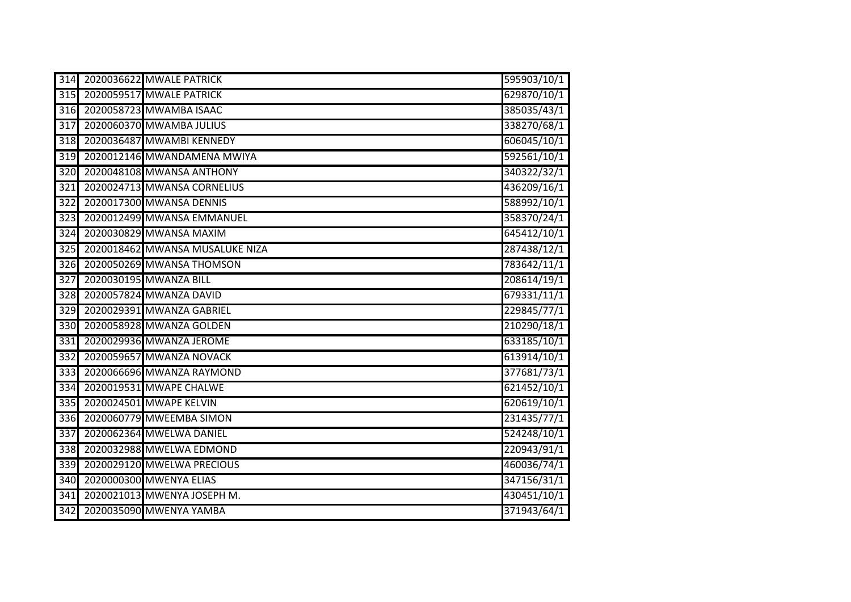| 314              | 2020036622 MWALE PATRICK        | 595903/10/1 |
|------------------|---------------------------------|-------------|
| 315              | 2020059517 MWALE PATRICK        | 629870/10/1 |
| 316              | 2020058723 MWAMBA ISAAC         | 385035/43/1 |
| 317              | 2020060370 MWAMBA JULIUS        | 338270/68/1 |
| 318              | 2020036487 MWAMBI KENNEDY       | 606045/10/1 |
| 319              | 2020012146 MWANDAMENA MWIYA     | 592561/10/1 |
| 320              | 2020048108 MWANSA ANTHONY       | 340322/32/1 |
| 321              | 2020024713 MWANSA CORNELIUS     | 436209/16/1 |
| 322              | 2020017300 MWANSA DENNIS        | 588992/10/1 |
| $\overline{323}$ | 2020012499 MWANSA EMMANUEL      | 358370/24/1 |
| 324              | 2020030829 MWANSA MAXIM         | 645412/10/1 |
| 325              | 2020018462 MWANSA MUSALUKE NIZA | 287438/12/1 |
| 326              | 2020050269 MWANSA THOMSON       | 783642/11/1 |
| 327              | 2020030195 MWANZA BILL          | 208614/19/1 |
| 328              | 2020057824 MWANZA DAVID         | 679331/11/1 |
| 329              | 2020029391 MWANZA GABRIEL       | 229845/77/1 |
| 330              | 2020058928 MWANZA GOLDEN        | 210290/18/1 |
| 331              | 2020029936 MWANZA JEROME        | 633185/10/1 |
| 332              | 2020059657 MWANZA NOVACK        | 613914/10/1 |
| 333              | 2020066696 MWANZA RAYMOND       | 377681/73/1 |
| 334              | 2020019531 MWAPE CHALWE         | 621452/10/1 |
| 335              | 2020024501 MWAPE KELVIN         | 620619/10/1 |
| 336              | 2020060779 MWEEMBA SIMON        | 231435/77/1 |
| 337              | 2020062364 MWELWA DANIEL        | 524248/10/1 |
| 338              | 2020032988 MWELWA EDMOND        | 220943/91/1 |
| 339              | 2020029120 MWELWA PRECIOUS      | 460036/74/1 |
| 340              | 2020000300 MWENYA ELIAS         | 347156/31/1 |
| 341              | 2020021013 MWENYA JOSEPH M.     | 430451/10/1 |
| $\overline{342}$ | 2020035090 MWENYA YAMBA         | 371943/64/1 |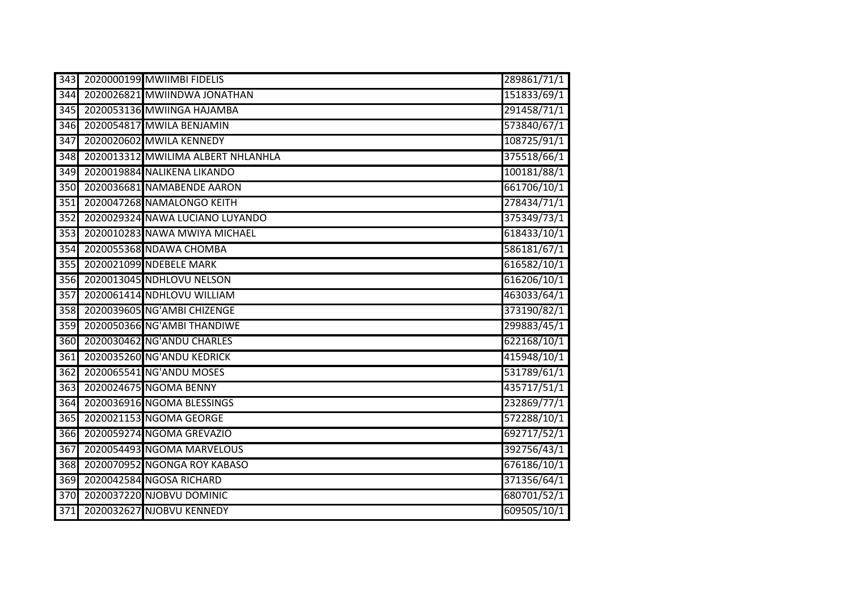| 343              | 2020000199 MWIIMBI FIDELIS         | 289861/71/1 |
|------------------|------------------------------------|-------------|
| 344              | 2020026821 MWIINDWA JONATHAN       | 151833/69/1 |
| 345              | 2020053136 MWIINGA HAJAMBA         | 291458/71/1 |
| 346              | 2020054817 MWILA BENJAMIN          | 573840/67/1 |
| 347              | 2020020602 MWILA KENNEDY           | 108725/91/1 |
| 348              | 2020013312 MWILIMA ALBERT NHLANHLA | 375518/66/1 |
| 349              | 2020019884 NALIKENA LIKANDO        | 100181/88/1 |
| 350              | 2020036681 NAMABENDE AARON         | 661706/10/1 |
| 351              | 2020047268 NAMALONGO KEITH         | 278434/71/1 |
| 352              | 2020029324 NAWA LUCIANO LUYANDO    | 375349/73/1 |
| 353              | 2020010283 NAWA MWIYA MICHAEL      | 618433/10/1 |
| 354              | 2020055368 NDAWA CHOMBA            | 586181/67/1 |
| 355              | 2020021099 NDEBELE MARK            | 616582/10/1 |
| 356              | 2020013045 NDHLOVU NELSON          | 616206/10/1 |
| 357              | 2020061414 NDHLOVU WILLIAM         | 463033/64/1 |
| 358              | 2020039605 NG'AMBI CHIZENGE        | 373190/82/1 |
| 359              | 2020050366 NG'AMBI THANDIWE        | 299883/45/1 |
| 360              | 2020030462 NG'ANDU CHARLES         | 622168/10/1 |
| 361              | 2020035260 NG'ANDU KEDRICK         | 415948/10/1 |
| 362              | 2020065541 NG'ANDU MOSES           | 531789/61/1 |
| 363              | 2020024675 NGOMA BENNY             | 435717/51/1 |
| 364              | 2020036916 NGOMA BLESSINGS         | 232869/77/1 |
| 365              | 2020021153 NGOMA GEORGE            | 572288/10/1 |
| 366              | 2020059274 NGOMA GREVAZIO          | 692717/52/1 |
| 367              | 2020054493 NGOMA MARVELOUS         | 392756/43/1 |
| 368              | 2020070952 NGONGA ROY KABASO       | 676186/10/1 |
| 369              | 2020042584 NGOSA RICHARD           | 371356/64/1 |
| 370              | 2020037220 NJOBVU DOMINIC          | 680701/52/1 |
| $\overline{371}$ | 2020032627 NJOBVU KENNEDY          | 609505/10/1 |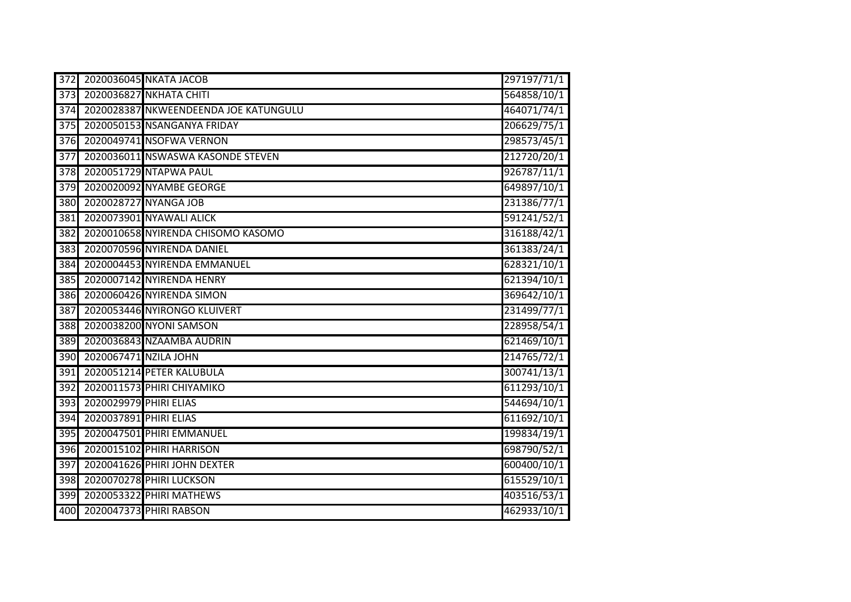| $\overline{372}$ |                        | 2020036045 NKATA JACOB                | 297197/71/1 |
|------------------|------------------------|---------------------------------------|-------------|
| 373              |                        | 2020036827 NKHATA CHITI               | 564858/10/1 |
| 374              |                        | 2020028387 NKWEENDEENDA JOE KATUNGULU | 464071/74/1 |
| 375              |                        | 2020050153 NSANGANYA FRIDAY           | 206629/75/1 |
| $\overline{376}$ |                        | 2020049741 NSOFWA VERNON              | 298573/45/1 |
| $\overline{377}$ |                        | 2020036011 NSWASWA KASONDE STEVEN     | 212720/20/1 |
| $\overline{378}$ |                        | 2020051729 NTAPWA PAUL                | 926787/11/1 |
| 379              |                        | 2020020092 NYAMBE GEORGE              | 649897/10/1 |
| 380              |                        | 2020028727 NYANGA JOB                 | 231386/77/1 |
| 381              |                        | 2020073901 NYAWALI ALICK              | 591241/52/1 |
| 382              |                        | 2020010658 NYIRENDA CHISOMO KASOMO    | 316188/42/1 |
| 383              |                        | 2020070596 NYIRENDA DANIEL            | 361383/24/1 |
| 384              |                        | 2020004453 NYIRENDA EMMANUEL          | 628321/10/1 |
| 385              |                        | 2020007142 NYIRENDA HENRY             | 621394/10/1 |
| 386              |                        | 2020060426 NYIRENDA SIMON             | 369642/10/1 |
| 387              |                        | 2020053446 NYIRONGO KLUIVERT          | 231499/77/1 |
| 388              |                        | 2020038200 NYONI SAMSON               | 228958/54/1 |
| 389              |                        | 2020036843 NZAAMBA AUDRIN             | 621469/10/1 |
| 390              | 2020067471 NZILA JOHN  |                                       | 214765/72/1 |
| 391              |                        | 2020051214 PETER KALUBULA             | 300741/13/1 |
| 392              |                        | 2020011573 PHIRI CHIYAMIKO            | 611293/10/1 |
| 393              | 2020029979 PHIRI ELIAS |                                       | 544694/10/1 |
| 394              | 2020037891 PHIRI ELIAS |                                       | 611692/10/1 |
| 395              |                        | 2020047501 PHIRI EMMANUEL             | 199834/19/1 |
| 396              |                        | 2020015102 PHIRI HARRISON             | 698790/52/1 |
| 397              |                        | 2020041626 PHIRI JOHN DEXTER          | 600400/10/1 |
| 398              |                        | 2020070278 PHIRI LUCKSON              | 615529/10/1 |
| 399              |                        | 2020053322 PHIRI MATHEWS              | 403516/53/1 |
| 400              |                        | 2020047373 PHIRI RABSON               | 462933/10/1 |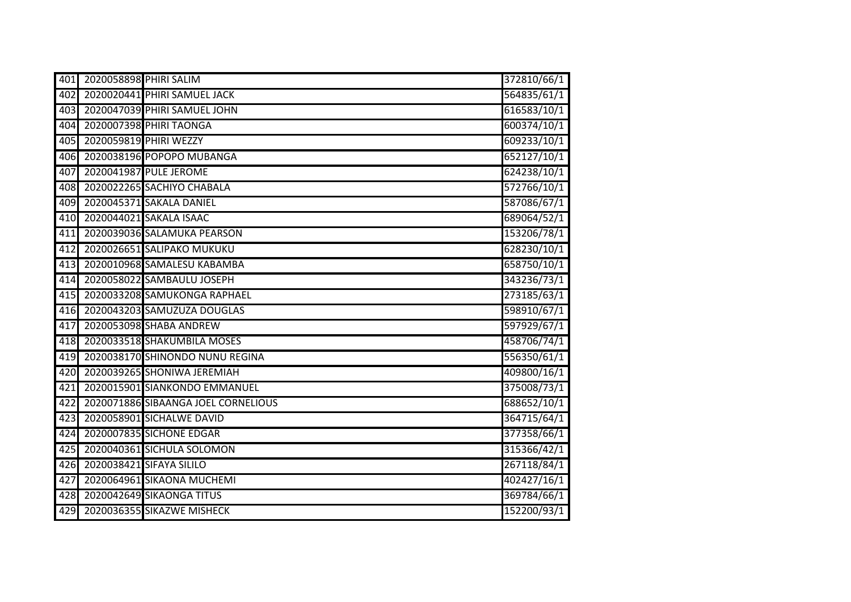| 401 | 2020058898 PHIRI SALIM |                                     | 372810/66/1 |
|-----|------------------------|-------------------------------------|-------------|
| 402 |                        | 2020020441 PHIRI SAMUEL JACK        | 564835/61/1 |
| 403 |                        | 2020047039 PHIRI SAMUEL JOHN        | 616583/10/1 |
| 404 |                        | 2020007398 PHIRI TAONGA             | 600374/10/1 |
| 405 |                        | 2020059819 PHIRI WEZZY              | 609233/10/1 |
| 406 |                        | 2020038196 POPOPO MUBANGA           | 652127/10/1 |
| 407 |                        | 2020041987 PULE JEROME              | 624238/10/1 |
| 408 |                        | 2020022265 SACHIYO CHABALA          | 572766/10/1 |
| 409 |                        | 2020045371 SAKALA DANIEL            | 587086/67/1 |
| 410 |                        | 2020044021 SAKALA ISAAC             | 689064/52/1 |
| 411 |                        | 2020039036 SALAMUKA PEARSON         | 153206/78/1 |
| 412 |                        | 2020026651 SALIPAKO MUKUKU          | 628230/10/1 |
| 413 |                        | 2020010968 SAMALESU KABAMBA         | 658750/10/1 |
| 414 |                        | 2020058022 SAMBAULU JOSEPH          | 343236/73/1 |
| 415 |                        | 2020033208 SAMUKONGA RAPHAEL        | 273185/63/1 |
| 416 |                        | 2020043203 SAMUZUZA DOUGLAS         | 598910/67/1 |
| 417 |                        | 2020053098 SHABA ANDREW             | 597929/67/1 |
| 418 |                        | 2020033518 SHAKUMBILA MOSES         | 458706/74/1 |
| 419 |                        | 2020038170 SHINONDO NUNU REGINA     | 556350/61/1 |
| 420 |                        | 2020039265 SHONIWA JEREMIAH         | 409800/16/1 |
| 421 |                        | 2020015901 SIANKONDO EMMANUEL       | 375008/73/1 |
| 422 |                        | 2020071886 SIBAANGA JOEL CORNELIOUS | 688652/10/1 |
| 423 |                        | 2020058901 SICHALWE DAVID           | 364715/64/1 |
| 424 |                        | 2020007835 SICHONE EDGAR            | 377358/66/1 |
| 425 |                        | 2020040361 SICHULA SOLOMON          | 315366/42/1 |
| 426 |                        | 2020038421 SIFAYA SILILO            | 267118/84/1 |
| 427 |                        | 2020064961 SIKAONA MUCHEMI          | 402427/16/1 |
| 428 |                        | 2020042649 SIKAONGA TITUS           | 369784/66/1 |
| 429 |                        | 2020036355 SIKAZWE MISHECK          | 152200/93/1 |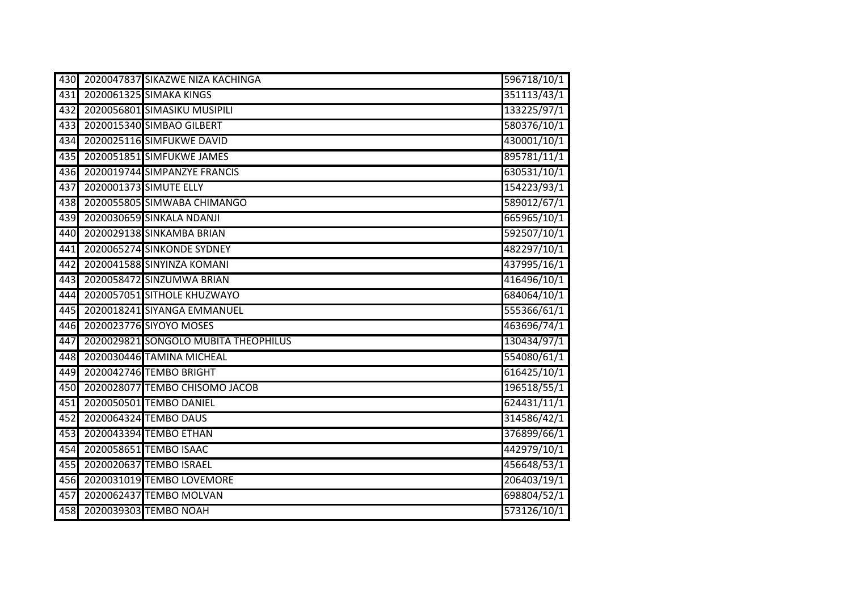| 430 | 2020047837 SIKAZWE NIZA KACHINGA     | 596718/10/1 |
|-----|--------------------------------------|-------------|
| 431 | 2020061325 SIMAKA KINGS              | 351113/43/1 |
| 432 | 2020056801 SIMASIKU MUSIPILI         | 133225/97/1 |
| 433 | 2020015340 SIMBAO GILBERT            | 580376/10/1 |
| 434 | 2020025116 SIMFUKWE DAVID            | 430001/10/1 |
| 435 | 2020051851 SIMFUKWE JAMES            | 895781/11/1 |
| 436 | 2020019744 SIMPANZYE FRANCIS         | 630531/10/1 |
| 437 | 2020001373 SIMUTE ELLY               | 154223/93/1 |
| 438 | 2020055805 SIMWABA CHIMANGO          | 589012/67/1 |
| 439 | 2020030659 SINKALA NDANJI            | 665965/10/1 |
| 440 | 2020029138 SINKAMBA BRIAN            | 592507/10/1 |
| 441 | 2020065274 SINKONDE SYDNEY           | 482297/10/1 |
| 442 | 2020041588 SINYINZA KOMANI           | 437995/16/1 |
| 443 | 2020058472 SINZUMWA BRIAN            | 416496/10/1 |
| 444 | 2020057051 SITHOLE KHUZWAYO          | 684064/10/1 |
| 445 | 2020018241 SIYANGA EMMANUEL          | 555366/61/1 |
| 446 | 2020023776 SIYOYO MOSES              | 463696/74/1 |
| 447 | 2020029821 SONGOLO MUBITA THEOPHILUS | 130434/97/1 |
| 448 | 2020030446 TAMINA MICHEAL            | 554080/61/1 |
| 449 | 2020042746 TEMBO BRIGHT              | 616425/10/1 |
| 450 | 2020028077 TEMBO CHISOMO JACOB       | 196518/55/1 |
| 451 | 2020050501 TEMBO DANIEL              | 624431/11/1 |
| 452 | 2020064324 TEMBO DAUS                | 314586/42/1 |
| 453 | 2020043394 TEMBO ETHAN               | 376899/66/1 |
| 454 | 2020058651 TEMBO ISAAC               | 442979/10/1 |
| 455 | 2020020637 TEMBO ISRAEL              | 456648/53/1 |
| 456 | 2020031019 TEMBO LOVEMORE            | 206403/19/1 |
| 457 | 2020062437 TEMBO MOLVAN              | 698804/52/1 |
| 458 | 2020039303 TEMBO NOAH                | 573126/10/1 |